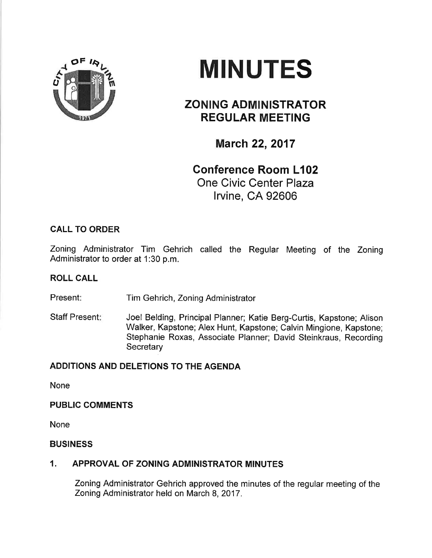



# ZONING ADMINISTRATOR REGULAR MEETING

# **March 22, 2017**

# Gonference Room L102 One Civic Center Plaza lrvine, CA 92606

## CALL TO ORDER

Zoning Administrator Tim Gehrich called the Regular Meeting of the Zoning Administrator to order at 1:30 p.m.

### ROLL CALL

Present: Tim Gehrich, Zoning Administrator

Staff Present: Joel Belding, Principal Planner; Katie Berg-Curtis, Kapstone; Alison Walker, Kapstone; Alex Hunt, Kapstone; Calvin Mingione, Kapstone; Stephanie Roxas, Associate Planner; David Steinkraus, Recording **Secretary** 

### ADDITIONS AND DELETIONS TO THE AGENDA

None

### PUBLIC COMMENTS

None

### BUSINESS

### 1. APPROVAL OF ZONING ADMINISTRATOR MINUTES

Zoning Administrator Gehrich approved the minutes of the regular meeting of the Zoning Administrator held on March 8, 2017.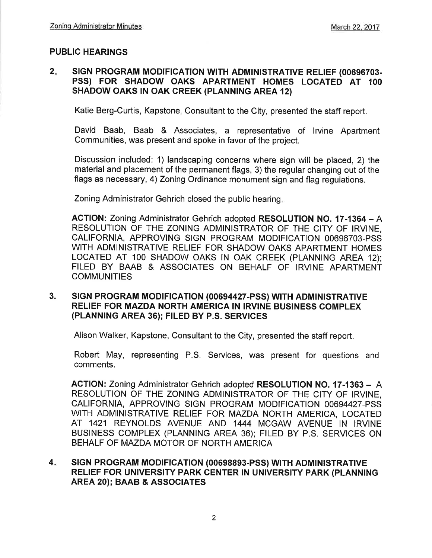#### PUBLIC HEARINGS

#### $2.$ SIGN PROGRAM MODIFICATION WITH ADMINISTRATIVE RELIEF (00696703-PSS) FOR SHADOW OAKS APARTMENT HOMES LOCATED AT <sup>100</sup> SHADOW OAKS IN OAK CREEK (PLANNING AREA 12)

Katie Berg-Curtis, Kapstone, Consultant to the City, presented the staff report.

David Baab, Baab & Associates, a representative of lrvine Apartment Communities, was present and spoke in favor of the project.

Discussion included: 1) landscaping concerns where sign will be placed, 2) the material and placement of the permanent flags, 3) the regular changing out of the flags as necessary,4) Zoning Ordinance monument sign and flag regulations.

Zoning Administrator Gehrich closed the public hearing

ACTION: Zoning Administrator Gehrich adopted RESOLUTION NO. 17-1364 - A RESOLUTION OF THE ZONING ADMINISTRATOR OF THE CITY OF IRVINE, CALIFORNIA, APPROVING SIGN PROGRAM MODIFICATION 00696703-PSS WITH ADMINISTRATIVE RELIEF FOR SHADOW OAKS APARTMENT HOMES LOCATED AT 100 SHADOW OAKS IN OAK CREEK (PLANNING AREA 12); FILED BY BAAB & ASSOCIATES ON BEHALF OF IRVINE APARTMENT **COMMUNITIES** 

#### 3. SIGN PROGRAM MODIFICATION (00694427-PSS) WITH ADMINISTRATIVE RELIEF FOR MAZDA NORTH AMERICA IN IRVINE BUSINESS COMPLEX (PLANNING AREA 36); FILED BY P.S. SERVICES

Alison Walker, Kapstone, Consultant to the City, presented the staff report.

Robert May, representing P.S. Services, was present for questions and comments.

ACTION: Zoning Administrator Gehrich adopted RESOLUTION NO. 17-1363 - <sup>A</sup> RESOLUTION OF THE ZONING ADMINISTRATOR OF THE CITY OF IRVINE, CALIFORNIA, APPROVING SIGN PROGRAM MODIFICATION 00694427-PSS WITH ADMINISTRATIVE RELIEF FOR MAZDA NORTH AMERICA, LOCATED AT 1421 REYNOLDS AVENUE AND 1444 MCGAW AVENUE IN IRVINE BUSINESS COMPLEX (PLANNING AREA 36); FILED BY P.S. SERVICES ON BEHALF OF MAZDA MOTOR OF NORTH AMERICA

#### SIGN PROGRAM MODIFICATION (00698893-PSS) WITH ADMINISTRATIVE RELIEF FOR UNIVERSITY PARK CENTER IN UNIVERSITY PARK (PLANNING AREA 20); BAAB & ASSOCIATES 4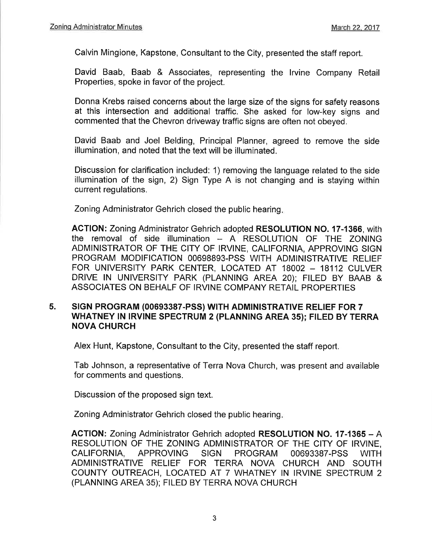Calvin Mingione, Kapstone, Consultant to the City, presented the staff report.

David Baab, Baab & Associates, representing the lrvine Company Retail Properties, spoke in favor of the project.

Donna Krebs raised concerns about the large size of the signs for safety reasons at this intersection and additional traffic. She asked for low-key signs and commented that the Chevron driveway traffic signs are often not obeyed.

David Baab and Joel Belding, Principal Planner, agreed to remove the side illumination, and noted that the text will be illuminated.

Discussion for clarification included: 1) removing the language related to the side illumination of the sign, 2) Sign Type A is not changing and is staying within current regulations,

Zoning Administrator Gehrich closed the public hearing

ACTION: Zoning Administrator Gehrich adopted RESOLUTION NO. 17-1366, with the removal of side illumination - A RESOLUTION OF THE ZONING ADMINISTRATOR OF THE CITY OF IRVINE, CALIFORNIA, APPROVING SIGN PROGRAM MODIFICATION 00698893-PSS WITH ADMINISTRATIVE RELIEF FOR UNIVERSITY PARK CENTER, LOCATED AT 18002 - 18112 CULVER DRIVE lN UNIVERSITY PARK (PLANNING AREA 20); FILED BY BAAB & ASSOCIATES ON BEHALF OF IRVINE COMPANY RETAIL PROPERTIES

#### SIGN PROGRAM (00693387-PSS) WITH ADMINISTRATIVE RELIEF FOR 7 WHATNEY IN IRVINE SPECTRUM 2 (PLANNING AREA 35); FILED BY TERRA NOVA CHURCH 5.

Alex Hunt, Kapstone, Consultant to the City, presented the staff report.

Tab Johnson, a representative of Terra Nova Church, was present and available for comments and questions.

Discussion of the proposed sign text.

Zoning Administrator Gehrich closed the public hearing

ACTION: Zoning Administrator Gehrich adopted RESOLUTION NO. 17-1365 - A RESOLUTION OF THE ZONING ADMINISTRATOR OF THE CITY OF IRVINE, CALIFORNIA, APPROVING SIGN PROGRAM 00693387-PSS WITH ADMINISTRATIVE RELIEF FOR TERRA NOVA CHURCH AND SOUTH COUNTY OUTREACH, LOCATED AT 7 WHATNEY IN IRVINE SPECTRUM 2 (PLANNING AREA 35); FILED BY TERRA NOVA CHURCH